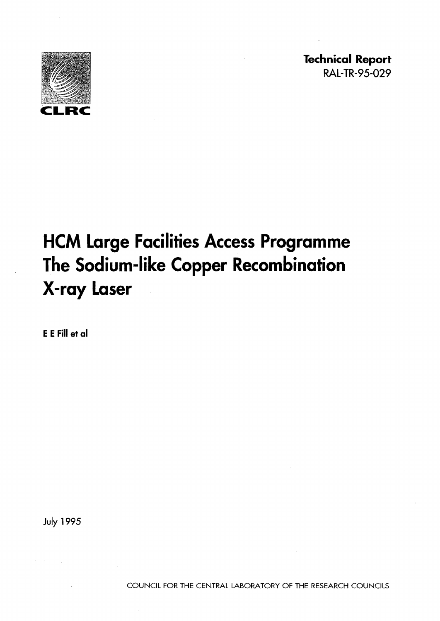

**Technical Report**  RAL-TR-95-029

# **HCM Large Facilities Access Programme The Sodium-like Copper Recombination X-ray Laser**

E E Fill **et al** 

July 1995

COUNCIL FOR THE CENTRAL LABORATORY OF THE RESEARCH COUNCILS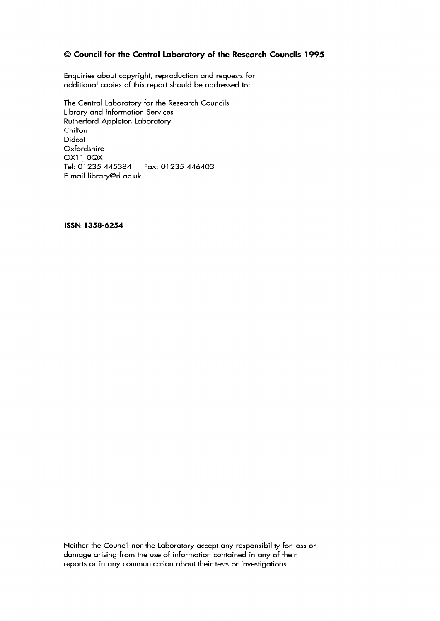#### © **Council for the Central Laboratory of the Research Councils 1995**

Enquiries about copyright, reproduction and requests for additional copies of this report should be addressed to:

The Central Laboratory for the Research Councils Library and Information Services Rutherford Appleton Laboratory **Chilton** Didcot Oxfordshire OX11 OQX Tel: 01235445384 Fax: 01235446403 E-mail library@rl.ac.uk

**ISSN 1358-6254** 

 $\sim$ 

Neither the Council nor the Laboratory accept any responsibility for loss or damage arising from the use of information contained in any of their reports or in any communication about their tests or investigations.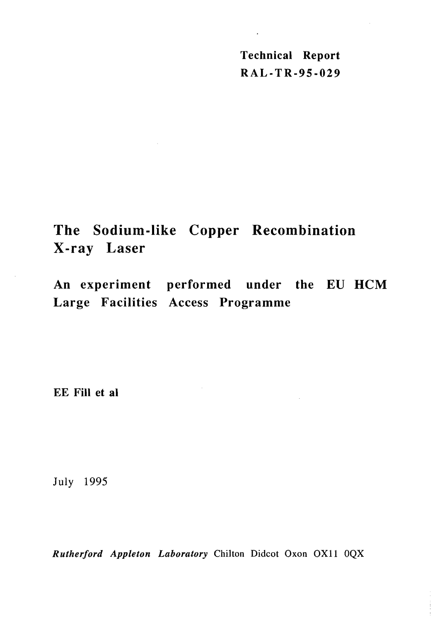**Technical Report** RAL-TR-95-029

# The Sodium-like Copper Recombination X-ray Laser

An experiment performed under the EU HCM Large Facilities Access Programme

EE Fill et al

July 1995

Rutherford Appleton Laboratory Chilton Didcot Oxon OX11 0QX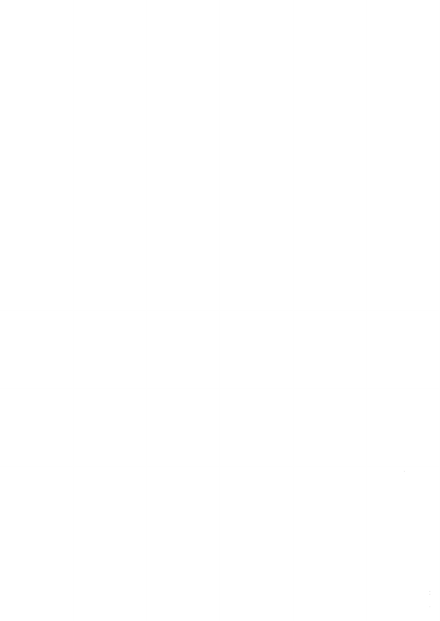$\frac{1}{2}$  .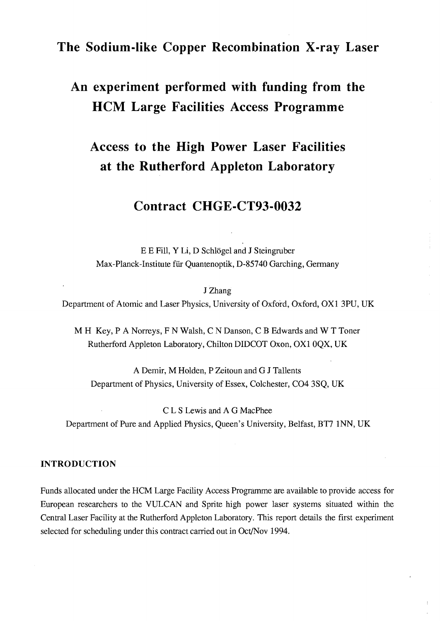### **The Sodium-like Copper Recombination X-ray Laser**

## **An experiment performed with funding from the HCM Large Facilities Access Programme**

### **Access to the High Power Laser Facilities at the Rutherford Appleton Laboratory**

### **Contract CHGE·CT93·0032**

E E Fill, Y Li, D Schlogel and J Steingruber Max-Planck-Institute für Quantenoptik, D-85740 Garching, Germany

J Zhang

Department of Atomic and Laser Physics, University of Oxford, Oxford, OXI 3PU, UK

M H Key, P A Norreys, F N Walsh, C N Danson, C B Edwards and W T Toner Rutherford Appleton Laboratory, Chilton DIDCOT Oxon, OXI OQX, UK

A Demir, M Holden, P Zeitoun and G J Tallents Department of Physics, University of Essex, Colchester, C04 3SQ, UK

C L S Lewis and A G MacPhee Department of Pure and Applied Physics, Queen's University, Belfast, BT7 1NN, UK

#### **INTRODUCTION**

Funds allocated under the HCM Large Facility Access Programme are available to provide access for European researchers to the VULCAN and Sprite high power laser systems situated within the Central Laser Facility at the Rutherford Appleton Laboratory. This report details the first experiment selected for scheduling under this contract carried out in Oct/Nov 1994.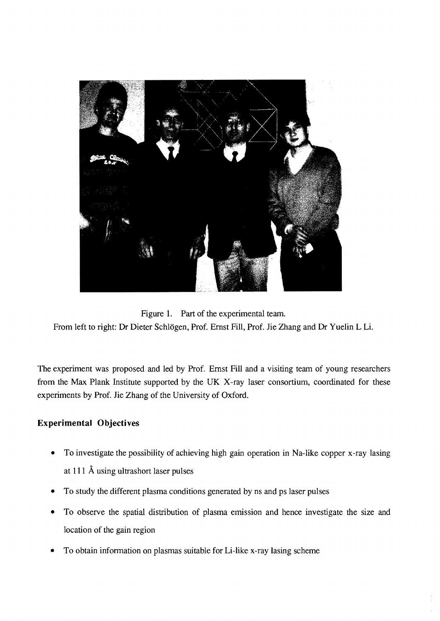

Figure 1. Part of the experimental team. From left to right: Dr Dieter Schlögen, Prof. Ernst Fill, Prof. Jie Zhang and Dr Yuelin L Li.

The experiment was proposed and led by Prof. Ernst Fill and a visiting team of young researchers from the Max Plank Institute supported by the UK X-ray laser consortium, coordinated for these experiments by Prof. Jie Zhang of the University of Oxford.

#### **Experimental Objectives**

- To investigate the possibility of achieving high gain operation in Na-like copper x-ray lasing at **111** Ausing ultrashort laser pulses
- To study the different plasma conditions generated by ns and ps laser pulses
- To observe the spatial distribution of plasma emission and hence investigate the size and location of the gain region
- To obtain information on plasmas suitable for Li-like x-ray lasing scheme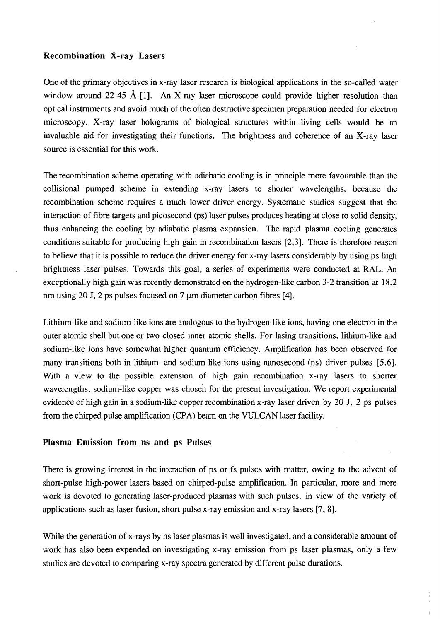#### Recombination X-ray Lasers

One of the primary objectives in x -ray laser research is biological applications in the so-called water window around 22-45 Å [1]. An X-ray laser microscope could provide higher resolution than optical instruments and avoid much of the often destructive specimen preparation needed for electron microscopy. X-ray laser holograms of biological structures within living cells would be an invaluable aid for investigating their functions. The brightness and coherence of an X-ray laser source is essential for this work.

The recombination scheme operating with adiabatic cooling is in principle more favourable than the collisional pumped scheme in extending x-ray lasers to shorter wavelengths, because the recombination scheme requires a much lower driver energy. Systematic studies suggest that the interaction of fibre targets and picosecond (ps) laser pulses produces heating at close to solid density, thus enhancing the cooling by adiabatic plasma expansion. The rapid plasma cooling generates conditions suitable for producing high gain in recombination lasers [2,3]. There is therefore reason to believe that it is possible to reduce the driver energy for x-ray lasers considerably by using ps high brightness laser pulses. Towards this goal, a series of experiments were conducted at RAL. An exceptionally high gain was recently demonstrated on the hydrogen-like carbon 3-2 transition at 18.2 nm using 20 J, 2 ps pulses focused on 7  $\mu$ m diameter carbon fibres [4].

Lithium-like and sodium-like ions are analogous to the hydrogen-like ions, having one electron in the outer atomic shell but one or two closed inner atomic shells. For lasing transitions, lithium-like and sodium-like ions have somewhat higher quantum efficiency. Amplification has been observed for many transitions both in lithium- and sodium-like ions using nanosecond (ns) driver pulses [5,6]. With a view to the possible extension of high gain recombination x-ray lasers to shorter wavelengths, sodium-like copper was chosen for the present investigation. We report experimental evidence of high gain in a sodium-like copper recombination x-ray laser driven by 20 J, 2 ps pulses from the chirped pulse amplification (CPA) beam on the VULCAN laser facility.

#### Plasma Emission from ns and ps Pulses

There is growing interest in the interaction of ps or fs pulses with matter, owing to the advent of short-pulse high-power lasers based on chirped-pulse amplification. In particular, more and more work is devoted to generating laser-produced plasmas with such pulses, in view of the variety of applications such as laser fusion, short pulse x-ray emission and x-ray lasers [7, 8].

While the generation of x-rays by ns laser plasmas is well investigated, and a considerable amount of work has also been expended on investigating x-ray emission from ps laser plasmas, only a few studies are devoted to comparing x-ray spectra generated by different pulse durations.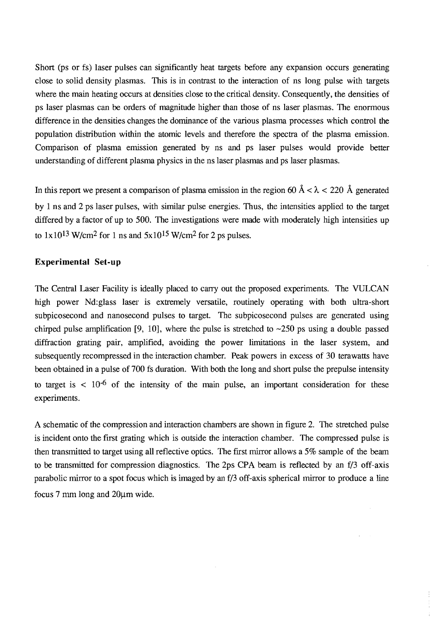Short (ps or fs) laser pulses can significantly heat targets before any expansion occurs generating close to solid density plasmas. This is in contrast to the interaction of ns long pulse with targets where the main heating occurs at densities close to the critical density. Consequently, the densities of ps laser plasmas can be orders of magnitude higher than those of ns laser plasmas. The enormous difference in the densities changes the dominance of the various plasma processes which control the population distribution within the atomic levels and therefore the spectra of the plasma emission. Comparison of plasma emission generated by ns and ps laser pulses would provide better understanding of different plasma physics in the ns laser plasmas and ps laser plasmas.

In this report we present a comparison of plasma emission in the region 60  $\rm \AA < \lambda < 220$   $\rm \AA$  generated by 1 ns and 2 ps laser pulses, with similar pulse energies. Thus, the intensities applied to the target differed by a factor of up to 500. The investigations were made with moderately high intensities up to  $1x10^{13}$  W/cm<sup>2</sup> for 1 ns and  $5x10^{15}$  W/cm<sup>2</sup> for 2 ps pulses.

#### Experimental Set-up

The Central Laser Facility is ideally placed to carry out the proposed experiments. The VULCAN high power Nd:glass laser is extremely versatile, routinely operating with both ultra-short subpicosecond and nanosecond pulses to target. The subpicosecond pulses are generated using chirped pulse amplification [9, 10], where the pulse is stretched to  $\sim$ 250 ps using a double passed diffraction grating pair, amplified, avoiding the power limitations in the laser system, and subsequently recompressed in the interaction chamber. Peak powers in excess of 30 terawatts have been obtained in a pulse of 700 fs duration. With both the long and short pulse the prepulse intensity to target is  $\lt$  10<sup>-6</sup> of the intensity of the main pulse, an important consideration for these experiments.

A schematic of the compression and interaction chambers are shown in figure 2. The stretched pulse is incident onto the first grating which is outside the interaction chamber. The compressed pulse is then transmitted to target using all reflective optics. The first mirror allows a  $5\%$  sample of the beam to be transmitted for compression diagnostics. The 2ps CPA beam is reflected by an f/3 off-axis parabolic mirror to a spot focus which is imaged by an f/3 off-axis spherical mirror to produce a line focus 7 mm long and  $20\mu$ m wide.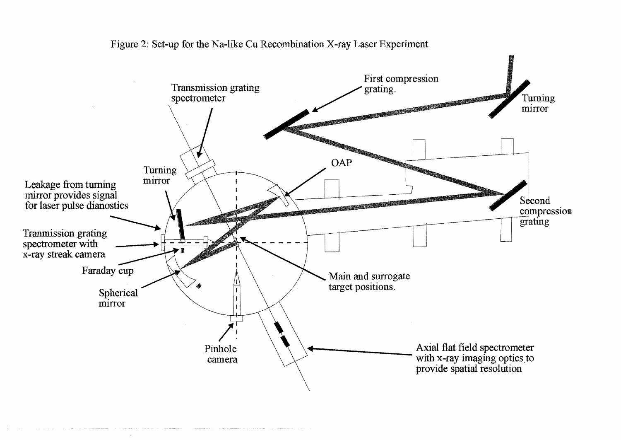

#### Figure 2: Set-up for the Na-like Cu Recombination X-ray Laser Experiment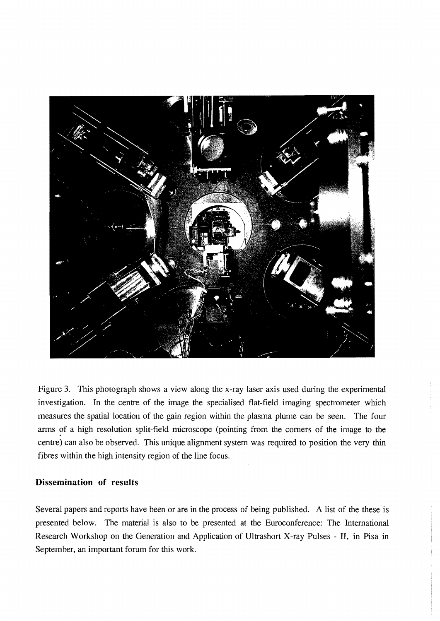

Figure 3. This photograph shows a view along the x-ray laser axis used during the experimental investigation. In the centre of the image the specialised flat-field imaging spectrometer which measures the spatial location of the gain region within the plasma plume can be seen. The four arms of a high resolution split-field microscope (pointing from the corners of the image to the centre) can also be observed. This unique alignment system was required to position the very thin fibres within the high intensity region of the line focus.

#### **Dissemination of results**

Several papers and reports have been or are in the process of being published. A list of the these is presented below. The material is also to be presented at the Euroconference: The International Research Workshop on the Generation and Application of Ultrashort X-ray Pulses - II, in Pisa in September, an important forum for this work.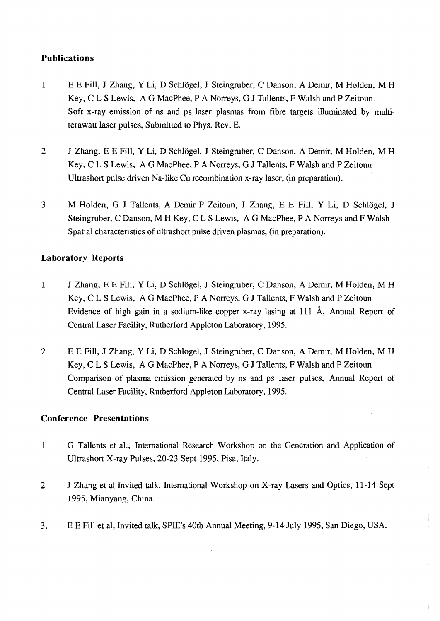#### **Publications**

- 1 E E Fill, J Zhang, Y Li, D SchlOgel, J Steingruber, C Danson, A Demir, M Holden, M H Key, C L S Lewis, A G MacPhee, P A Norreys, G J Tallents, F Walsh and P Zeitoun. Soft x-ray emission of ns and ps laser plasmas from fibre targets illuminated by multiterawatt laser pulses, Submitted to Phys. Rev. E.
- 2 J Zhang, E E Fill, Y Li, D Schlögel, J Steingruber, C Danson, A Demir, M Holden, M H Key, C L S Lewis, A G MacPhee, P A Norreys, G J Tallents, F Walsh and P Zeitoun Ultrashort pulse driven Na-like Cu recombination x-ray laser, (in preparation).
- 3 M Holden, G J Tallents, A Demir P Zeitoun, J Zhang, E E Fill, Y Li, D Schlögel, J Steingruber, C Danson, M H Key, C L S Lewis, A G MacPhee, P A Norreys and F Walsh Spatial characteristics of ultrashort pulse driven plasmas, (in preparation).

#### **Laboratory Reports**

- 1 J Zhang, E E Fill, Y Li, D SchlOgel, J Steingruber, C Danson, A Demir, M Holden, M H Key, C L S Lewis, A G MacPhee, P A Norreys, OJ Tallents, F Walsh and P Zeitoun Evidence of high gain in a sodium-like copper x-ray lasing at 111 A, Annual Report of Central Laser Facility, Rutherford Appleton Laboratory, 1995.
- 2 E E Fill, J Zhang, Y Li, D Schlogel, J Steingruber, C Danson, A Demir, M Holden, M H Key, C L S Lewis, A G MacPhee, P A Norreys, G J Tallents, F Walsh and P Zeitoun Comparison of plasma emission generated by ns and ps laser pulses, Annual Report of Central Laser Facility, Rutherford Appleton Laboratory, 1995.

#### **Conference Presentations**

1 G Tallents et aI., International Research Workshop on the Generation and Application of Ultrashort X-ray Pulses, 20-23 Sept 1995, Pisa, Italy.

- 2 J Zhang et al Invited talk, International Workshop on X-ray Lasers and Optics, 11-14 Sept 1995, Mianyang, China.
- 3. E E Fill et aI, Invited talk, SPIE's 40th Annual Meeting, 9-14 July 1995, San Diego, USA.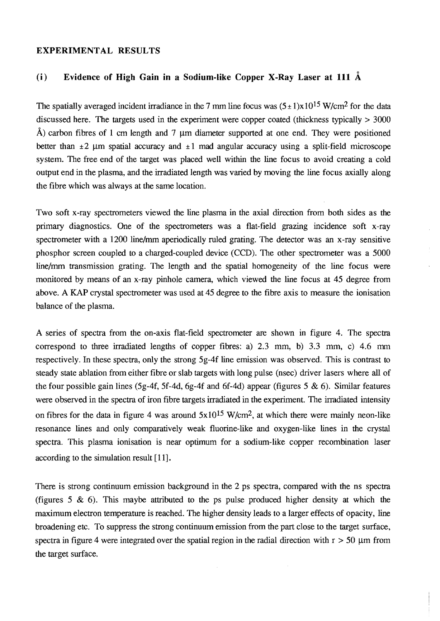#### EXPERIMENTAL RESULTS

#### (i) Evidence of High Gain in a Sodium-like Copper X-Ray Laser at **III A**

The spatially averaged incident irradiance in the 7 mm line focus was  $(5 \pm 1)x10^{15}$  W/cm<sup>2</sup> for the data discussed here. The targets used in the experiment were copper coated (thickness typically  $> 3000$ ) Å) carbon fibres of 1 cm length and 7  $\mu$ m diameter supported at one end. They were positioned better than  $\pm 2$   $\mu$ m spatial accuracy and  $\pm 1$  mad angular accuracy using a split-field microscope system. The free end of the target was placed well within the line focus to avoid creating a cold output end in the plasma, and the irradiated length was varied by moving the line focus axially along the fibre which was always at the same location.

Two soft x-ray spectrometers viewed the line plasma in the axial direction from both sides as the primary diagnostics. One of the spectrometers was a flat-field grazing incidence soft x-ray spectrometer with a 1200 line/mm aperiodically ruled grating. The detector was an x-ray sensitive phosphor screen coupled to a charged-coupled device (CCD). The other spectrometer was a 5000 line/mm transmission grating. The length and the spatial homogeneity of the line focus were monitored by means of an x-ray pinhole camera, which viewed the line focus at 45 degree from above. A KAP crystal spectrometer was used at 45 degree to the fibre axis to measure the ionisation balance of the plasma.

A series of spectra from the on-axis flat-field spectrometer are shown in figure 4. The spectra correspond to three irradiated lengths of copper fibres: a) 2.3 mm, b) 3.3 mm, c) 4.6 mm respectively. In these spectra, only the strong 5g-4f line emission was observed. This is contrast to steady state ablation from either fibre or slab targets with long pulse (nsec) driver lasers where all of the four possible gain lines (5g-4f, 5f-4d, 6g-4f and 6f-4d) appear (figures 5  $\&$  6). Similar features were observed in the spectra of iron fibre targets irradiated in the experiment. The irradiated intensity on fibres for the data in figure 4 was around  $5x10^{15}$  W/cm<sup>2</sup>, at which there were mainly neon-like resonance lines and only comparatively weak fluorine-like and oxygen-like lines in the crystal spectra. This plasma ionisation is near optimum for a sodium-like copper recombination laser according to the simulation result [11].

There is strong continuum emission background in the 2 ps spectra, compared with the ns spectra (figures 5  $\&$  6). This maybe attributed to the ps pulse produced higher density at which the maximum electron temperature is reached. The higher density leads to a larger effects of opacity, line broadening etc. To suppress the strong continuum emission from the part close to the target surface, spectra in figure 4 were integrated over the spatial region in the radial direction with  $r > 50 \mu m$  from the target surface.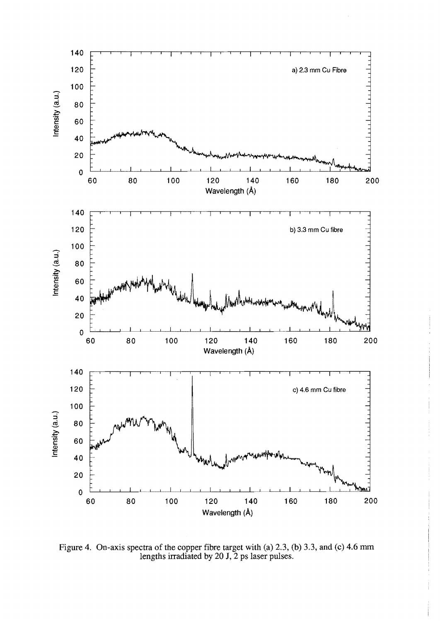

Figure 4. On-axis spectra of the copper fibre target with (a) 2.3, (b) 3.3, and (c) 4.6 mm lengths irradiated by 20 J, 2 ps laser pulses.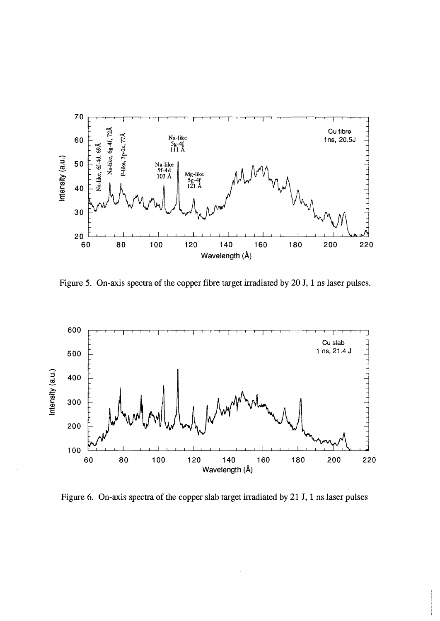

Figure 5. On-axis spectra of the copper fibre target irradiated by 20 J, 1 ns laser pulses.



Figure 6. On-axis spectra of the copper slab target irradiated by 21 J, 1 ns laser pulses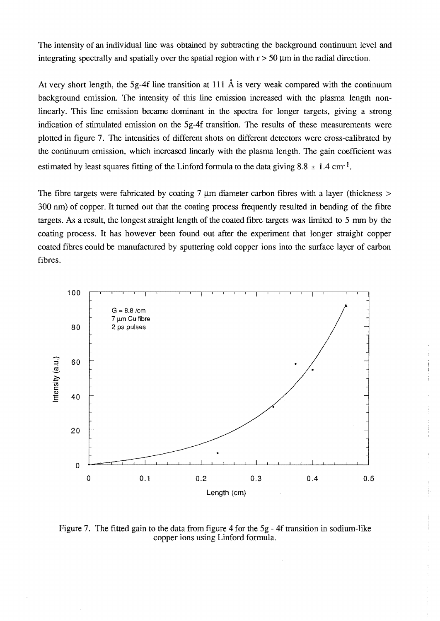The intensity of an individual line was obtained by subtracting the background continuum level and integrating spectrally and spatially over the spatial region with  $r > 50 \mu m$  in the radial direction.

At very short length, the 5g-4f line transition at 111 Å is very weak compared with the continuum background emission. The intensity of this line emission increased with the plasma length nonlinearly. This line emission became dominant in the spectra for longer targets, giving a strong indication of stimulated emission on the 5g-4f transition. The results of these measurements were plotted in figure 7. The intensities of different shots on different detectors were cross-calibrated by the continuum emission, which increased linearly with the plasma length. The gain coefficient was estimated by least squares fitting of the Linford formula to the data giving  $8.8 \pm 1.4$  cm<sup>-1</sup>.

The fibre targets were fabricated by coating 7  $\mu$ m diameter carbon fibres with a layer (thickness > 300 nm) of copper. It turned out that the coating process frequently resulted in bending of the fibre targets. As a result, the longest straight length of the coated fibre targets was limited to 5 mm by the coating process. It has however been found out after the experiment that longer straight copper coated fibres could be manufactured by sputtering cold copper ions into the surface layer of carbon fibres.



Figure 7. The fitted gain to the data from figure 4 for the 5g 4f transition in sodium-like copper ions using Linford formula.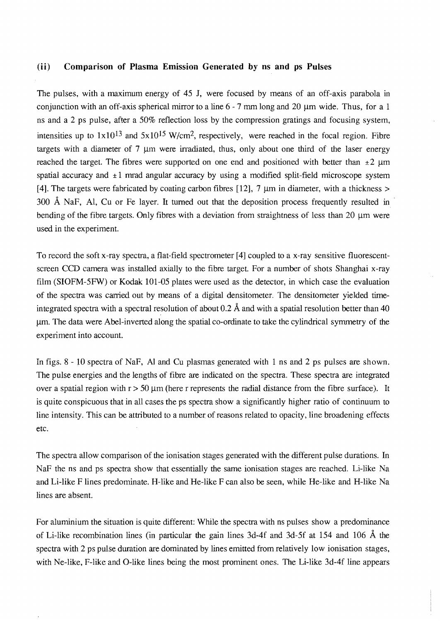#### (ii) Comparison of Plasma Emission Generated by ns and ps Pulses

The pulses, with a maximum energy of 45 J, were focused by means of an off-axis parabola in conjunction with an off-axis spherical mirror to a line  $6 - 7$  mm long and 20  $\mu$ m wide. Thus, for a 1 ns and a 2 ps pulse, after a 50% reflection loss by the compression gratings and focusing system, intensities up to  $1x10^{13}$  and  $5x10^{15}$  W/cm<sup>2</sup>, respectively, were reached in the focal region. Fibre targets with a diameter of  $7 \mu m$  were irradiated, thus, only about one third of the laser energy reached the target. The fibres were supported on one end and positioned with better than  $\pm 2 \mu m$ spatial accuracy and  $\pm 1$  mrad angular accuracy by using a modified split-field microscope system [4]. The targets were fabricated by coating carbon fibres [12], 7  $\mu$ m in diameter, with a thickness > 300 A NaF, AI, Cu or Fe layer. It turned out that the deposition process frequently resulted in bending of the fibre targets. Only fibres with a deviation from straightness of less than 20  $\mu$ m were used in the experiment.

To record the soft x-ray spectra, a flat-field spectrometer [4] coupled to a x-ray sensitive fluorescentscreen CCD camera was installed axially to the fibre target. For a number of shots Shanghai x-ray film (SIOFM-5FW) or Kodak 101-05 plates were used as the detector, in which case the evaluation of the spectra was carried out by means of a digital densitometer. The densitometer yielded timeintegrated spectra with a spectral resolution of about  $0.2 \text{ Å}$  and with a spatial resolution better than 40 ~. The data were Abel-inverted along the spatial co-ordinate to take the cylindrical symmetry of the experiment into account.

In figs. 8 - 10 spectra of NaF, AI and Cu plasmas generated with 1 ns and 2 ps pulses are shown. The pulse energies and the lengths of fibre are indicated on the spectra. These spectra are integrated over a spatial region with  $r > 50 \mu m$  (here r represents the radial distance from the fibre surface). It is quite conspicuous that in all cases the ps spectra show a significantly higher ratio of continuum to line intensity. This can be attributed to a number of reasons related to opacity, line broadening effects etc.

The spectra allow comparison of the ionisation stages generated with the different pulse durations. In NaF the ns and ps spectra show that essentially the same ionisation stages are reached. Li-like Na and Li-like F lines predominate. H-like and He-like F can also be seen, while He-like and H-like Na lines are absent.

For aluminium the situation is quite different: While the spectra with ns pulses show a predominance of Li-like recombination lines (in particular the gain lines 3d-4f and 3d-5f at 154 and 106 A the spectra with 2 ps pulse duration are dominated by lines emitted from relatively low ionisation stages, with Ne-like, F-like and O-like lines being the most prominent ones. The Li-like 3d-4f line appears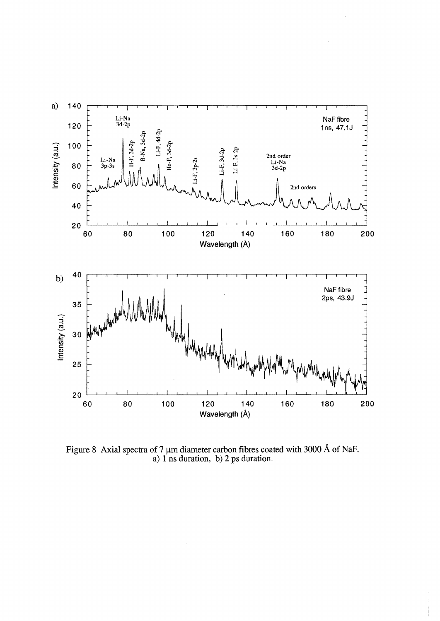

Figure 8 Axial spectra of 7  $\mu$ m diameter carbon fibres coated with 3000 Å of NaF. a) 1 ns duration, b) 2 ps duration.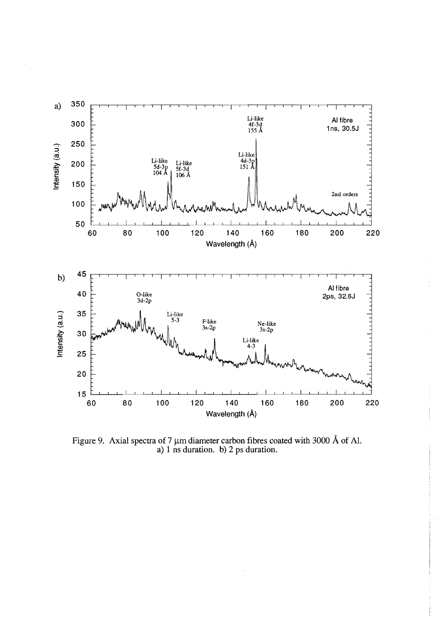

Figure 9. Axial spectra of 7  $\mu$ m diameter carbon fibres coated with 3000 Å of Al. a) 1 ns duration. b) 2 ps duration.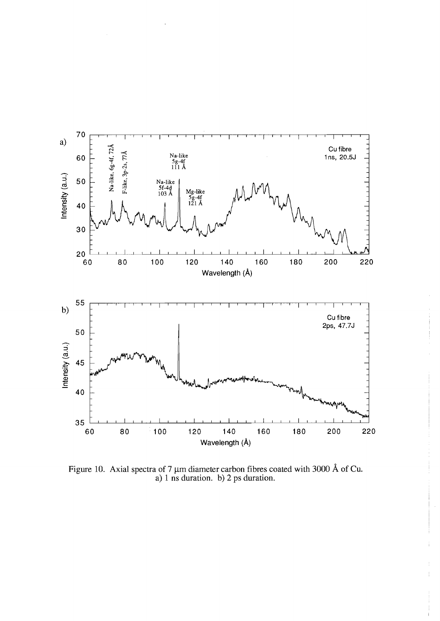

Figure 10. Axial spectra of 7  $\mu$ m diameter carbon fibres coated with 3000 Å of Cu.<br>a) 1 ns duration. b) 2 ps duration.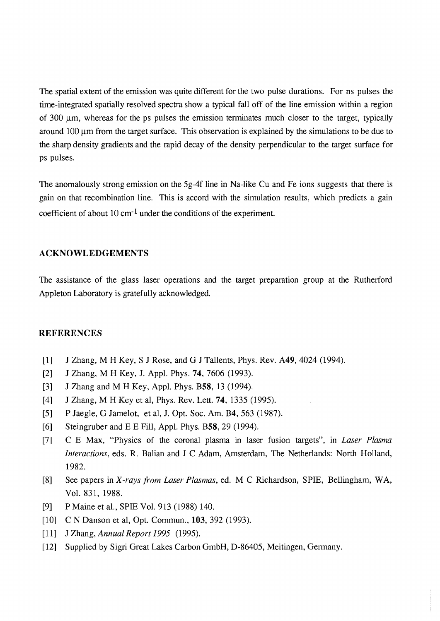The spatial extent of the emission was quite different for the two pulse durations. For ns pulses the time-integrated spatially resolved spectra show a typical fall-off of the line emission within a region of  $300 \mu m$ , whereas for the ps pulses the emission terminates much closer to the target, typically around 100 µm from the target surface. This observation is explained by the simulations to be due to the sharp density gradients and the rapid decay of the density perpendicular to the target surface for ps pulses.

The anomalously strong emission on the 5g-4f line in Na-like Cu and Fe ions suggests that there is gain on that recombination line. This is accord with the simulation results, which predicts a gain coefficient of about 10 cm-l under the conditions of the experiment.

#### ACKNOWLEDGEMENTS

The assistance of the glass laser operations and the target preparation group at the Rutherford Appleton Laboratory is gratefully acknowledged.

#### REFERENCES

 $\bar{\phantom{a}}$ 

- [1] J Zhang, M H Key, S J Rose, and G J Tallents, Phys. Rev. A49, 4024 (1994).
- [2] J Zhang, M H Key, J. Appl. Phys. 74, 7606 (1993).
- [3] J Zhang and M H Key, Appl. Phys. B58, 13 (1994).
- [4] J Zhang, M H Key et al, Phys. Rev. Lett. **74**, 1335 (1995).
- [5] P Jaegle, G Jamelot, et aI, J. Opt. Soc. Am. B4, 563 (1987).
- [6] Steingruber and E E Fill, Appl. Phys. B58, 29 (1994).
- [7] C E Max, "Physics of the coronal plasma in laser fusion targets", in *Laser Plasma Interactions,* eds. R. Balian and J C Adam, Amsterdam, The Netherlands: North Holland, 1982.
- [8] See papers in *X-rays from Laser Plasmas,* ed. M C Richardson, SPIE, Bellingham, WA, Vol. 831, 1988.
- [9] P Maine et al., SPIE Vol. 913 (1988) 140.
- [10] C N Danson et al, Opt. Commun., **103**, 392 (1993).
- [11] J Zhang, *Annual Report* 1995 (1995).
- [12] Supplied by Sigri Great Lakes Carbon GmbH, 0-86405, Meitingen, Germany.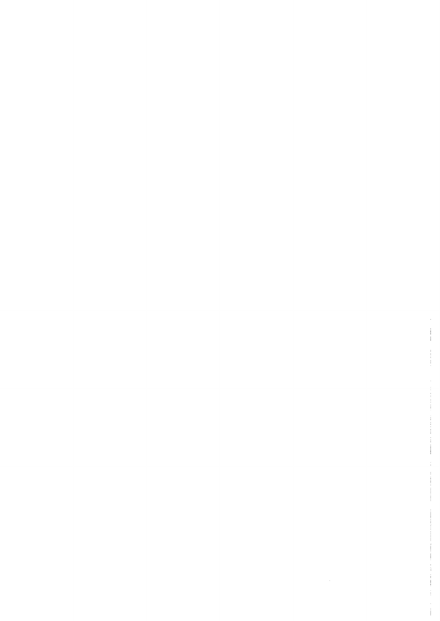$\epsilon$  $\begin{aligned} \begin{bmatrix} \mathbf{1} & \mathbf{1} & \mathbf{1} & \mathbf{1} & \mathbf{1} & \mathbf{1} & \mathbf{1} & \mathbf{1} & \mathbf{1} & \mathbf{1} & \mathbf{1} & \mathbf{1} & \mathbf{1} & \mathbf{1} & \mathbf{1} & \mathbf{1} & \mathbf{1} & \mathbf{1} & \mathbf{1} & \mathbf{1} & \mathbf{1} & \mathbf{1} & \mathbf{1} & \mathbf{1} & \mathbf{1} & \mathbf{1} & \mathbf{1} & \mathbf{1} & \mathbf{1} & \mathbf{1}$  $\frac{1}{2}$  and  $\frac{1}{2}$  and  $\frac{1}{2}$ 

 $\sim$   $\sim$